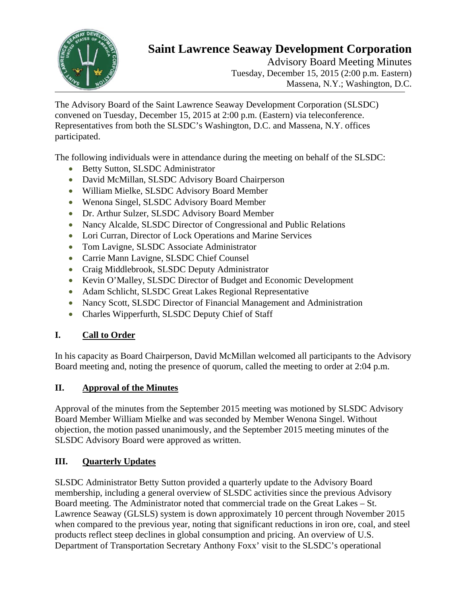

# **Saint Lawrence Seaway Development Corporation**

Advisory Board Meeting Minutes Tuesday, December 15, 2015 (2:00 p.m. Eastern) Massena, N.Y.; Washington, D.C.

The Advisory Board of the Saint Lawrence Seaway Development Corporation (SLSDC) convened on Tuesday, December 15, 2015 at 2:00 p.m. (Eastern) via teleconference. Representatives from both the SLSDC's Washington, D.C. and Massena, N.Y. offices participated.

The following individuals were in attendance during the meeting on behalf of the SLSDC:

- Betty Sutton, SLSDC Administrator
- David McMillan, SLSDC Advisory Board Chairperson
- William Mielke, SLSDC Advisory Board Member
- Wenona Singel, SLSDC Advisory Board Member
- Dr. Arthur Sulzer, SLSDC Advisory Board Member
- Nancy Alcalde, SLSDC Director of Congressional and Public Relations
- Lori Curran, Director of Lock Operations and Marine Services
- Tom Lavigne, SLSDC Associate Administrator
- Carrie Mann Lavigne, SLSDC Chief Counsel
- Craig Middlebrook, SLSDC Deputy Administrator
- Kevin O'Malley, SLSDC Director of Budget and Economic Development
- Adam Schlicht, SLSDC Great Lakes Regional Representative
- Nancy Scott, SLSDC Director of Financial Management and Administration
- Charles Wipperfurth, SLSDC Deputy Chief of Staff

#### **I. Call to Order**

In his capacity as Board Chairperson, David McMillan welcomed all participants to the Advisory Board meeting and, noting the presence of quorum, called the meeting to order at 2:04 p.m.

## **II. Approval of the Minutes**

Approval of the minutes from the September 2015 meeting was motioned by SLSDC Advisory Board Member William Mielke and was seconded by Member Wenona Singel. Without objection, the motion passed unanimously, and the September 2015 meeting minutes of the SLSDC Advisory Board were approved as written.

#### **III. Quarterly Updates**

SLSDC Administrator Betty Sutton provided a quarterly update to the Advisory Board membership, including a general overview of SLSDC activities since the previous Advisory Board meeting. The Administrator noted that commercial trade on the Great Lakes – St. Lawrence Seaway (GLSLS) system is down approximately 10 percent through November 2015 when compared to the previous year, noting that significant reductions in iron ore, coal, and steel products reflect steep declines in global consumption and pricing. An overview of U.S. Department of Transportation Secretary Anthony Foxx' visit to the SLSDC's operational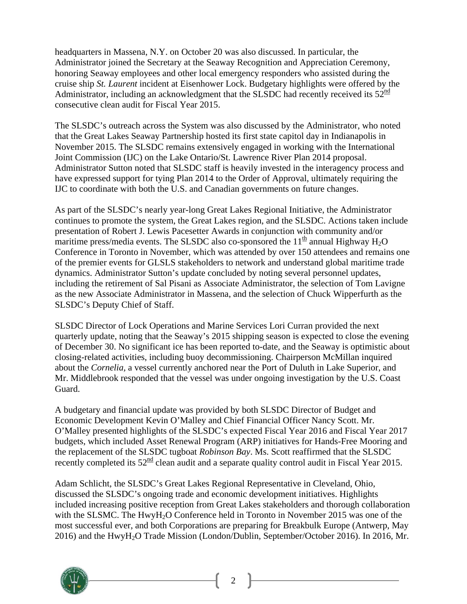headquarters in Massena, N.Y. on October 20 was also discussed. In particular, the Administrator joined the Secretary at the Seaway Recognition and Appreciation Ceremony, honoring Seaway employees and other local emergency responders who assisted during the cruise ship *St. Laurent* incident at Eisenhower Lock. Budgetary highlights were offered by the Administrator, including an acknowledgment that the SLSDC had recently received its  $52^{\text{nd}}$ consecutive clean audit for Fiscal Year 2015.

The SLSDC's outreach across the System was also discussed by the Administrator, who noted that the Great Lakes Seaway Partnership hosted its first state capitol day in Indianapolis in November 2015. The SLSDC remains extensively engaged in working with the International Joint Commission (IJC) on the Lake Ontario/St. Lawrence River Plan 2014 proposal. Administrator Sutton noted that SLSDC staff is heavily invested in the interagency process and have expressed support for tying Plan 2014 to the Order of Approval, ultimately requiring the IJC to coordinate with both the U.S. and Canadian governments on future changes.

As part of the SLSDC's nearly year-long Great Lakes Regional Initiative, the Administrator continues to promote the system, the Great Lakes region, and the SLSDC. Actions taken include presentation of Robert J. Lewis Pacesetter Awards in conjunction with community and/or maritime press/media events. The SLSDC also co-sponsored the  $11<sup>th</sup>$  annual Highway H<sub>2</sub>O Conference in Toronto in November, which was attended by over 150 attendees and remains one of the premier events for GLSLS stakeholders to network and understand global maritime trade dynamics. Administrator Sutton's update concluded by noting several personnel updates, including the retirement of Sal Pisani as Associate Administrator, the selection of Tom Lavigne as the new Associate Administrator in Massena, and the selection of Chuck Wipperfurth as the SLSDC's Deputy Chief of Staff.

SLSDC Director of Lock Operations and Marine Services Lori Curran provided the next quarterly update, noting that the Seaway's 2015 shipping season is expected to close the evening of December 30. No significant ice has been reported to-date, and the Seaway is optimistic about closing-related activities, including buoy decommissioning. Chairperson McMillan inquired about the *Cornelia,* a vessel currently anchored near the Port of Duluth in Lake Superior, and Mr. Middlebrook responded that the vessel was under ongoing investigation by the U.S. Coast Guard.

A budgetary and financial update was provided by both SLSDC Director of Budget and Economic Development Kevin O'Malley and Chief Financial Officer Nancy Scott. Mr. O'Malley presented highlights of the SLSDC's expected Fiscal Year 2016 and Fiscal Year 2017 budgets, which included Asset Renewal Program (ARP) initiatives for Hands-Free Mooring and the replacement of the SLSDC tugboat *Robinson Bay*. Ms. Scott reaffirmed that the SLSDC recently completed its  $52^{\text{nd}}$  clean audit and a separate quality control audit in Fiscal Year 2015.

Adam Schlicht, the SLSDC's Great Lakes Regional Representative in Cleveland, Ohio, discussed the SLSDC's ongoing trade and economic development initiatives. Highlights included increasing positive reception from Great Lakes stakeholders and thorough collaboration with the SLSMC. The HwyH<sub>2</sub>O Conference held in Toronto in November 2015 was one of the most successful ever, and both Corporations are preparing for Breakbulk Europe (Antwerp, May 2016) and the HwyH2O Trade Mission (London/Dublin, September/October 2016). In 2016, Mr.



2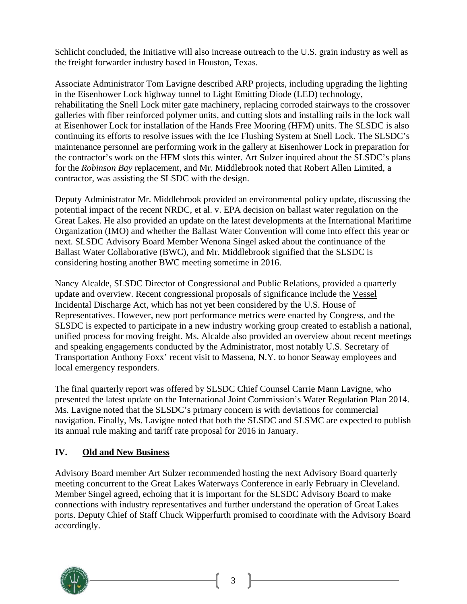Schlicht concluded, the Initiative will also increase outreach to the U.S. grain industry as well as the freight forwarder industry based in Houston, Texas.

Associate Administrator Tom Lavigne described ARP projects, including upgrading the lighting in the Eisenhower Lock highway tunnel to Light Emitting Diode (LED) technology, rehabilitating the Snell Lock miter gate machinery, replacing corroded stairways to the crossover galleries with fiber reinforced polymer units, and cutting slots and installing rails in the lock wall at Eisenhower Lock for installation of the Hands Free Mooring (HFM) units. The SLSDC is also continuing its efforts to resolve issues with the Ice Flushing System at Snell Lock. The SLSDC's maintenance personnel are performing work in the gallery at Eisenhower Lock in preparation for the contractor's work on the HFM slots this winter. Art Sulzer inquired about the SLSDC's plans for the *Robinson Bay* replacement, and Mr. Middlebrook noted that Robert Allen Limited, a contractor, was assisting the SLSDC with the design.

Deputy Administrator Mr. Middlebrook provided an environmental policy update, discussing the potential impact of the recent NRDC, et al. v. EPA decision on ballast water regulation on the Great Lakes. He also provided an update on the latest developments at the International Maritime Organization (IMO) and whether the Ballast Water Convention will come into effect this year or next. SLSDC Advisory Board Member Wenona Singel asked about the continuance of the Ballast Water Collaborative (BWC), and Mr. Middlebrook signified that the SLSDC is considering hosting another BWC meeting sometime in 2016.

Nancy Alcalde, SLSDC Director of Congressional and Public Relations, provided a quarterly update and overview. Recent congressional proposals of significance include the Vessel Incidental Discharge Act, which has not yet been considered by the U.S. House of Representatives. However, new port performance metrics were enacted by Congress, and the SLSDC is expected to participate in a new industry working group created to establish a national, unified process for moving freight. Ms. Alcalde also provided an overview about recent meetings and speaking engagements conducted by the Administrator, most notably U.S. Secretary of Transportation Anthony Foxx' recent visit to Massena, N.Y. to honor Seaway employees and local emergency responders.

The final quarterly report was offered by SLSDC Chief Counsel Carrie Mann Lavigne, who presented the latest update on the International Joint Commission's Water Regulation Plan 2014. Ms. Lavigne noted that the SLSDC's primary concern is with deviations for commercial navigation. Finally, Ms. Lavigne noted that both the SLSDC and SLSMC are expected to publish its annual rule making and tariff rate proposal for 2016 in January.

#### **IV. Old and New Business**

Advisory Board member Art Sulzer recommended hosting the next Advisory Board quarterly meeting concurrent to the Great Lakes Waterways Conference in early February in Cleveland. Member Singel agreed, echoing that it is important for the SLSDC Advisory Board to make connections with industry representatives and further understand the operation of Great Lakes ports. Deputy Chief of Staff Chuck Wipperfurth promised to coordinate with the Advisory Board accordingly.



3